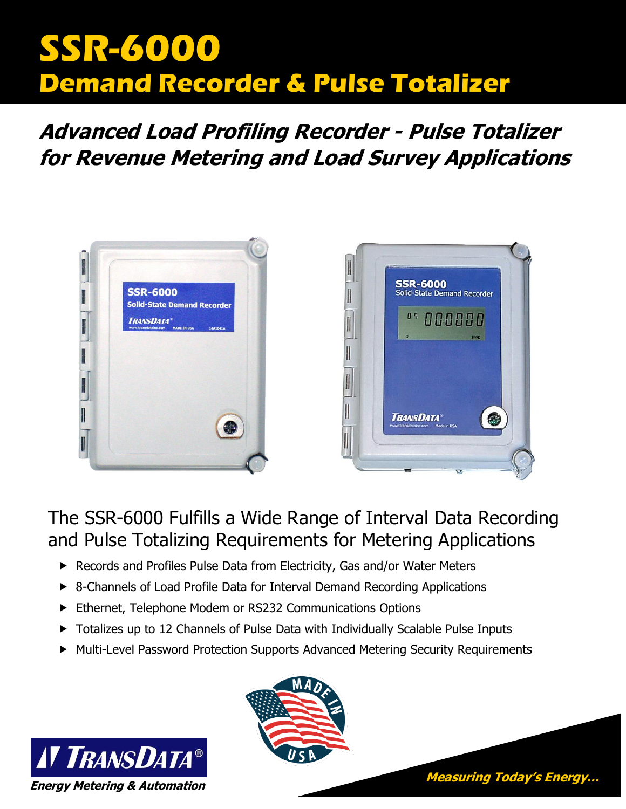# **SSR-6000 Demand Recorder & Pulse Totalizer**

## **Advanced Load Profiling Recorder - Pulse Totalizer for Revenue Metering and Load Survey Applications**



## The SSR-6000 Fulfills a Wide Range of Interval Data Recording and Pulse Totalizing Requirements for Metering Applications

- ▶ Records and Profiles Pulse Data from Electricity, Gas and/or Water Meters
- ▶ 8-Channels of Load Profile Data for Interval Demand Recording Applications
- Ethernet, Telephone Modem or RS232 Communications Options
- ▶ Totalizes up to 12 Channels of Pulse Data with Individually Scalable Pulse Inputs
- Multi-Level Password Protection Supports Advanced Metering Security Requirements